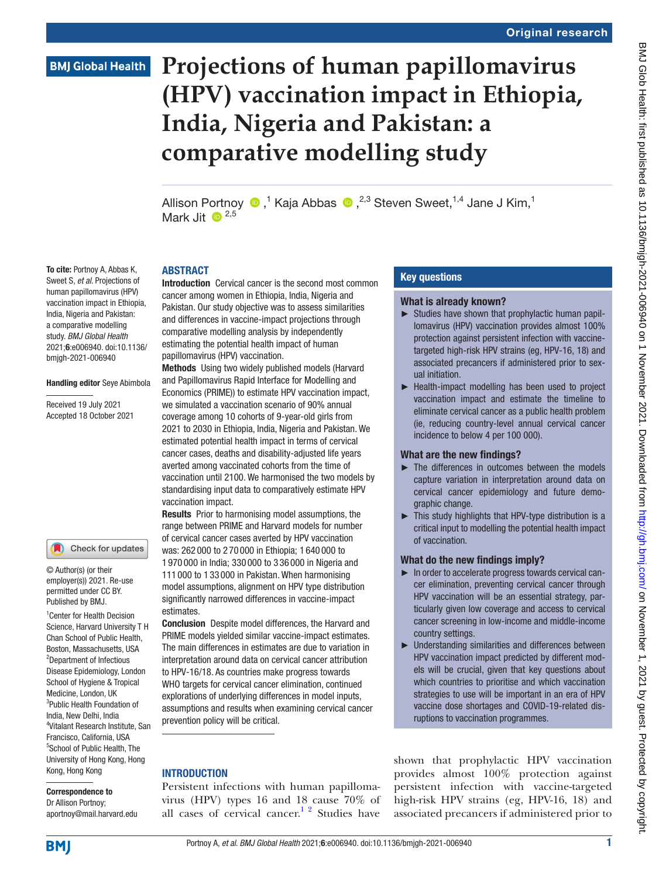## **BMJ Global Health**

# **Projections of human papillomavirus (HPV) vaccination impact in Ethiopia, India, Nigeria and Pakistan: a comparative modelling study**

AllisonPortnoy  $\bigcirc$  ,<sup>1</sup> Kaja Abbas  $\bigcirc$  ,<sup>2,3</sup> Steven Sweet,<sup>1,4</sup> Jane J Kim,<sup>1</sup> Mark  $\overline{1}$   $\overline{1}$   $\overline{1}$   $\overline{2}$   $\overline{2}$   $\overline{2}$   $\overline{2}$   $\overline{2}$   $\overline{2}$   $\overline{2}$   $\overline{2}$   $\overline{2}$   $\overline{2}$   $\overline{2}$   $\overline{2}$   $\overline{2}$   $\overline{2}$   $\overline{2}$   $\overline{2}$   $\overline{2}$   $\overline{2}$   $\overline{2}$   $\overline{2}$   $\overline{2}$ 

#### **ARSTRACT**

Introduction Cervical cancer is the second most common cancer among women in Ethiopia, India, Nigeria and Pakistan. Our study objective was to assess similarities and differences in vaccine-impact projections through comparative modelling analysis by independently estimating the potential health impact of human papillomavirus (HPV) vaccination.

Methods Using two widely published models (Harvard and Papillomavirus Rapid Interface for Modelling and Economics (PRIME)) to estimate HPV vaccination impact, we simulated a vaccination scenario of 90% annual coverage among 10 cohorts of 9-year-old girls from 2021 to 2030 in Ethiopia, India, Nigeria and Pakistan. We estimated potential health impact in terms of cervical cancer cases, deaths and disability-adjusted life years averted among vaccinated cohorts from the time of vaccination until 2100. We harmonised the two models by standardising input data to comparatively estimate HPV vaccination impact.

Results Prior to harmonising model assumptions, the range between PRIME and Harvard models for number of cervical cancer cases averted by HPV vaccination was: 262 000 to 2 70 000 in Ethiopia; 1 640 000 to 1 970 000 in India; 330 000 to 3 36 000 in Nigeria and 111 000 to 1 33 000 in Pakistan. When harmonising model assumptions, alignment on HPV type distribution significantly narrowed differences in vaccine-impact estimates.

Conclusion Despite model differences, the Harvard and PRIME models yielded similar vaccine-impact estimates. The main differences in estimates are due to variation in interpretation around data on cervical cancer attribution to HPV-16/18. As countries make progress towards WHO targets for cervical cancer elimination, continued explorations of underlying differences in model inputs, assumptions and results when examining cervical cancer prevention policy will be critical.

#### **INTRODUCTION**

Persistent infections with human papillomavirus (HPV) types 16 and 18 cause 70% of all cases of cervical cancer.<sup>1 2</sup> Studies have

#### Key questions

#### What is already known?

- ► Studies have shown that prophylactic human papillomavirus (HPV) vaccination provides almost 100% protection against persistent infection with vaccinetargeted high-risk HPV strains (eg, HPV-16, 18) and associated precancers if administered prior to sexual initiation.
- ► Health-impact modelling has been used to project vaccination impact and estimate the timeline to eliminate cervical cancer as a public health problem (ie, reducing country-level annual cervical cancer incidence to below 4 per 100 000).

#### What are the new findings?

- ► The differences in outcomes between the models capture variation in interpretation around data on cervical cancer epidemiology and future demographic change.
- ► This study highlights that HPV-type distribution is a critical input to modelling the potential health impact of vaccination.

#### What do the new findings imply?

- ► In order to accelerate progress towards cervical cancer elimination, preventing cervical cancer through HPV vaccination will be an essential strategy, particularly given low coverage and access to cervical cancer screening in low-income and middle-income country settings.
- ► Understanding similarities and differences between HPV vaccination impact predicted by different models will be crucial, given that key questions about which countries to prioritise and which vaccination strategies to use will be important in an era of HPV vaccine dose shortages and COVID-19-related disruptions to vaccination programmes.

shown that prophylactic HPV vaccination provides almost 100% protection against persistent infection with vaccine-targeted high-risk HPV strains (eg, HPV-16, 18) and associated precancers if administered prior to

Sweet S, *et al*. Projections of human papillomavirus (HPV) vaccination impact in Ethiopia, India, Nigeria and Pakistan: a comparative modelling study. *BMJ Global Health* 2021;6:e006940. doi:10.1136/ bmjgh-2021-006940

To cite: Portnoy A, Abbas K,

#### Handling editor Seye Abimbola

Received 19 July 2021 Accepted 18 October 2021

#### Check for updates

© Author(s) (or their employer(s)) 2021. Re-use permitted under CC BY. Published by BMJ.

<sup>1</sup> Center for Health Decision Science, Harvard University T H Chan School of Public Health, Boston, Massachusetts, USA 2 Department of Infectious Disease Epidemiology, London School of Hygiene & Tropical Medicine, London, UK 3 Public Health Foundation of India, New Delhi, India 4 Vitalant Research Institute, San Francisco, California, USA 5 School of Public Health, The University of Hong Kong, Hong Kong, Hong Kong

Correspondence to Dr Allison Portnoy; aportnoy@mail.harvard.edu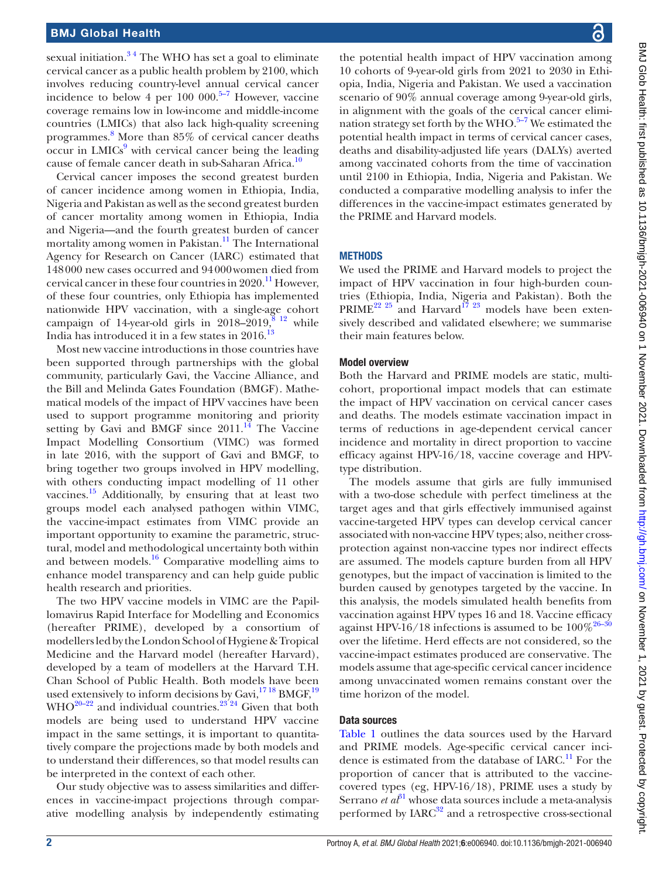sexual initiation.<sup>34</sup> The WHO has set a goal to eliminate cervical cancer as a public health problem by 2100, which involves reducing country-level annual cervical cancer incidence to below 4 per 100 000. $5-7$  However, vaccine coverage remains low in low-income and middle-income countries (LMICs) that also lack high-quality screening programmes. [8](#page-7-3) More than 85% of cervical cancer deaths  $\mathrm{occur}$  in  $\mathrm{LMICs}^9$  $\mathrm{LMICs}^9$  with cervical cancer being the leading cause of female cancer death in sub-Saharan Africa.<sup>10</sup>

Cervical cancer imposes the second greatest burden of cancer incidence among women in Ethiopia, India, Nigeria and Pakistan as well as the second greatest burden of cancer mortality among women in Ethiopia, India and Nigeria—and the fourth greatest burden of cancer mortality among women in Pakistan.<sup>11</sup> The International Agency for Research on Cancer (IARC) estimated that 148000 new cases occurred and 94000women died from cervical cancer in these four countries in  $2020$ .<sup>[11](#page-7-6)</sup> However, of these four countries, only Ethiopia has implemented nationwide HPV vaccination, with a single-age cohort campaign of 14-year-old girls in 2018–2019, $\frac{8}{3}$  <sup>12</sup> while India has introduced it in a few states in  $2016$ .<sup>13</sup>

Most new vaccine introductions in those countries have been supported through partnerships with the global community, particularly Gavi, the Vaccine Alliance, and the Bill and Melinda Gates Foundation (BMGF). Mathematical models of the impact of HPV vaccines have been used to support programme monitoring and priority setting by Gavi and BMGF since  $2011$ .<sup>[14](#page-7-8)</sup> The Vaccine Impact Modelling Consortium (VIMC) was formed in late 2016, with the support of Gavi and BMGF, to bring together two groups involved in HPV modelling, with others conducting impact modelling of 11 other vaccines. $^{15}$  Additionally, by ensuring that at least two groups model each analysed pathogen within VIMC, the vaccine-impact estimates from VIMC provide an important opportunity to examine the parametric, structural, model and methodological uncertainty both within and between models. $16$  Comparative modelling aims to enhance model transparency and can help guide public health research and priorities.

The two HPV vaccine models in VIMC are the Papillomavirus Rapid Interface for Modelling and Economics (hereafter PRIME), developed by a consortium of modellers led by the London School of Hygiene & Tropical Medicine and the Harvard model (hereafter Harvard), developed by a team of modellers at the Harvard T.H. Chan School of Public Health. Both models have been used extensively to inform decisions by Gavi, $^{17\,18}$  BMGF, $^{19}$  $WHO^{20-22}$  and individual countries.<sup>23'24</sup> Given that both models are being used to understand HPV vaccine impact in the same settings, it is important to quantitatively compare the projections made by both models and to understand their differences, so that model results can be interpreted in the context of each other.

Our study objective was to assess similarities and differences in vaccine-impact projections through comparative modelling analysis by independently estimating the potential health impact of HPV vaccination among 10 cohorts of 9-year-old girls from 2021 to 2030 in Ethiopia, India, Nigeria and Pakistan. We used a vaccination scenario of 90% annual coverage among 9-year-old girls, in alignment with the goals of the cervical cancer elimination strategy set forth by the WHO. $5-7$  We estimated the potential health impact in terms of cervical cancer cases, deaths and disability-adjusted life years (DALYs) averted among vaccinated cohorts from the time of vaccination until 2100 in Ethiopia, India, Nigeria and Pakistan. We conducted a comparative modelling analysis to infer the differences in the vaccine-impact estimates generated by the PRIME and Harvard models.

#### **METHODS**

We used the PRIME and Harvard models to project the impact of HPV vaccination in four high-burden countries (Ethiopia, India, Nigeria and Pakistan). Both the  $PRIME^{22}$  <sup>25</sup> and Harvard<sup>17</sup><sup>23</sup> models have been extensively described and validated elsewhere; we summarise their main features below.

#### Model overview

Both the Harvard and PRIME models are static, multicohort, proportional impact models that can estimate the impact of HPV vaccination on cervical cancer cases and deaths. The models estimate vaccination impact in terms of reductions in age-dependent cervical cancer incidence and mortality in direct proportion to vaccine efficacy against HPV-16/18, vaccine coverage and HPVtype distribution.

The models assume that girls are fully immunised with a two-dose schedule with perfect timeliness at the target ages and that girls effectively immunised against vaccine-targeted HPV types can develop cervical cancer associated with non-vaccine HPV types; also, neither crossprotection against non-vaccine types nor indirect effects are assumed. The models capture burden from all HPV genotypes, but the impact of vaccination is limited to the burden caused by genotypes targeted by the vaccine. In this analysis, the models simulated health benefits from vaccination against HPV types 16 and 18. Vaccine efficacy against HPV-16/18 infections is assumed to be  $100\%^{26-30}$ over the lifetime. Herd effects are not considered, so the vaccine-impact estimates produced are conservative. The models assume that age-specific cervical cancer incidence among unvaccinated women remains constant over the time horizon of the model.

#### Data sources

[Table](#page-2-0) 1 outlines the data sources used by the Harvard and PRIME models. Age-specific cervical cancer incidence is estimated from the database of  $IARC.<sup>11</sup>$  $IARC.<sup>11</sup>$  $IARC.<sup>11</sup>$  For the proportion of cancer that is attributed to the vaccinecovered types (eg, HPV-16/18), PRIME uses a study by Serrano *et al*<sup>[31](#page-7-17)</sup> whose data sources include a meta-analysis performed by  $IARC<sup>32</sup>$  and a retrospective cross-sectional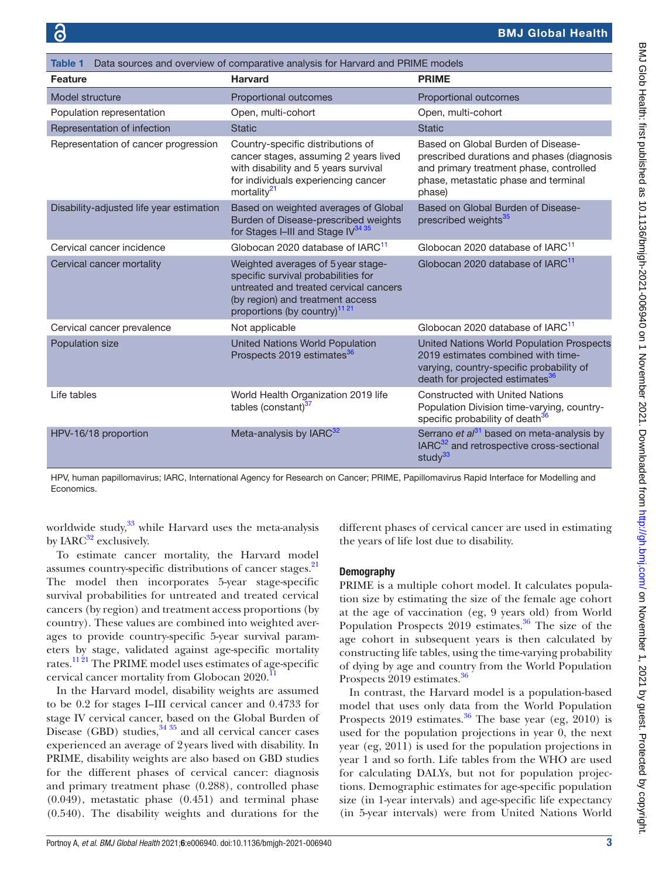<span id="page-2-0"></span>

| Data sources and overview of comparative analysis for Harvard and PRIME models<br>Table 1 |                                                                                                                                                                                                      |                                                                                                                                                                               |
|-------------------------------------------------------------------------------------------|------------------------------------------------------------------------------------------------------------------------------------------------------------------------------------------------------|-------------------------------------------------------------------------------------------------------------------------------------------------------------------------------|
| <b>Feature</b>                                                                            | <b>Harvard</b>                                                                                                                                                                                       | <b>PRIME</b>                                                                                                                                                                  |
| Model structure                                                                           | Proportional outcomes                                                                                                                                                                                | Proportional outcomes                                                                                                                                                         |
| Population representation                                                                 | Open, multi-cohort                                                                                                                                                                                   | Open, multi-cohort                                                                                                                                                            |
| Representation of infection                                                               | <b>Static</b>                                                                                                                                                                                        | <b>Static</b>                                                                                                                                                                 |
| Representation of cancer progression                                                      | Country-specific distributions of<br>cancer stages, assuming 2 years lived<br>with disability and 5 years survival<br>for individuals experiencing cancer<br>mortality <sup>21</sup>                 | Based on Global Burden of Disease-<br>prescribed durations and phases (diagnosis<br>and primary treatment phase, controlled<br>phase, metastatic phase and terminal<br>phase) |
| Disability-adjusted life year estimation                                                  | Based on weighted averages of Global<br>Burden of Disease-prescribed weights<br>for Stages I-III and Stage IV <sup>34 35</sup>                                                                       | Based on Global Burden of Disease-<br>prescribed weights <sup>35</sup>                                                                                                        |
| Cervical cancer incidence                                                                 | Globocan 2020 database of IARC <sup>11</sup>                                                                                                                                                         | Globocan 2020 database of IARC <sup>11</sup>                                                                                                                                  |
| Cervical cancer mortality                                                                 | Weighted averages of 5 year stage-<br>specific survival probabilities for<br>untreated and treated cervical cancers<br>(by region) and treatment access<br>proportions (by country) <sup>11 21</sup> | Globocan 2020 database of IARC <sup>11</sup>                                                                                                                                  |
| Cervical cancer prevalence                                                                | Not applicable                                                                                                                                                                                       | Globocan 2020 database of IARC <sup>11</sup>                                                                                                                                  |
| Population size                                                                           | <b>United Nations World Population</b><br>Prospects 2019 estimates <sup>36</sup>                                                                                                                     | United Nations World Population Prospects<br>2019 estimates combined with time-<br>varying, country-specific probability of<br>death for projected estimates <sup>36</sup>    |
| I ife tables                                                                              | World Health Organization 2019 life<br>tables (constant) <sup>37</sup>                                                                                                                               | <b>Constructed with United Nations</b><br>Population Division time-varying, country-<br>specific probability of death <sup>36</sup>                                           |
| HPV-16/18 proportion                                                                      | Meta-analysis by IARC <sup>32</sup>                                                                                                                                                                  | Serrano et $a^{31}$ based on meta-analysis by<br>IARC <sup>32</sup> and retrospective cross-sectional<br>study <sup>33</sup>                                                  |

HPV, human papillomavirus; IARC, International Agency for Research on Cancer; PRIME, Papillomavirus Rapid Interface for Modelling and Economics.

worldwide study, $33$  while Harvard uses the meta-analysis by  $IARC<sup>32</sup>$  exclusively.

To estimate cancer mortality, the Harvard model assumes country-specific distributions of cancer stages.<sup>21</sup> The model then incorporates 5-year stage-specific survival probabilities for untreated and treated cervical cancers (by region) and treatment access proportions (by country). These values are combined into weighted averages to provide country-specific 5-year survival parameters by stage, validated against age-specific mortality rates.<sup>[11 21](#page-7-6)</sup> The PRIME model uses estimates of age-specific cervical cancer mortality from Globocan 2020.

In the Harvard model, disability weights are assumed to be 0.2 for stages I–III cervical cancer and 0.4733 for stage IV cervical cancer, based on the Global Burden of Disease (GBD) studies,  $\frac{34\,35}{10}$  and all cervical cancer cases experienced an average of 2years lived with disability. In PRIME, disability weights are also based on GBD studies for the different phases of cervical cancer: diagnosis and primary treatment phase (0.288), controlled phase (0.049), metastatic phase (0.451) and terminal phase (0.540). The disability weights and durations for the

different phases of cervical cancer are used in estimating the years of life lost due to disability.

#### **Demography**

PRIME is a multiple cohort model. It calculates population size by estimating the size of the female age cohort at the age of vaccination (eg, 9 years old) from World Population Prospects 2019 estimates.<sup>36</sup> The size of the age cohort in subsequent years is then calculated by constructing life tables, using the time-varying probability of dying by age and country from the World Population Prospects 2019 estimates.<sup>[36](#page-7-22)</sup>

In contrast, the Harvard model is a population-based model that uses only data from the World Population Prospects 2019 estimates.<sup>[36](#page-7-22)</sup> The base year (eg, 2010) is used for the population projections in year 0, the next year (eg, 2011) is used for the population projections in year 1 and so forth. Life tables from the WHO are used for calculating DALYs, but not for population projections. Demographic estimates for age-specific population size (in 1-year intervals) and age-specific life expectancy (in 5-year intervals) were from United Nations World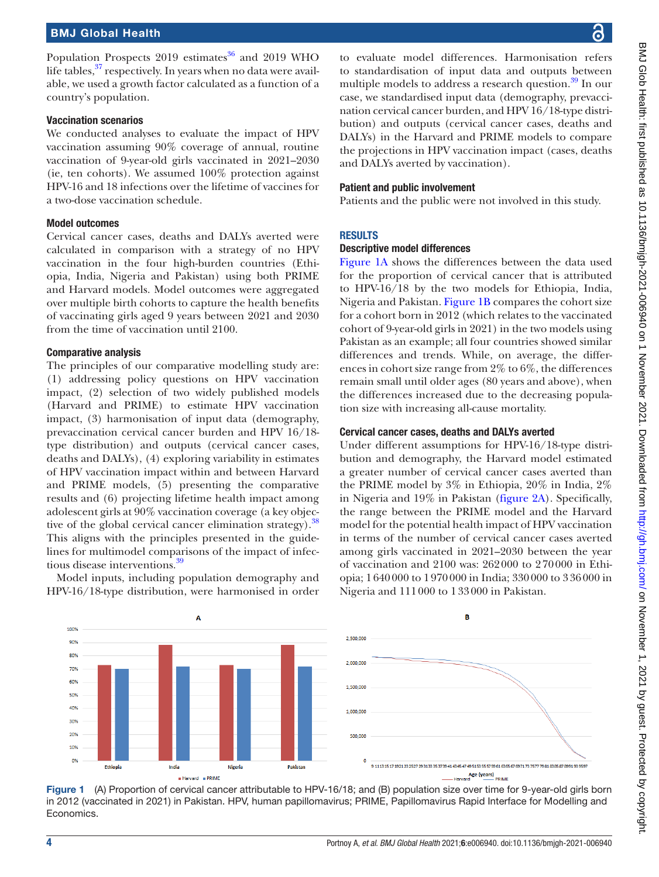Population Prospects  $2019$  estimates<sup>[36](#page-7-22)</sup> and 2019 WHO life tables, $37$  respectively. In years when no data were available, we used a growth factor calculated as a function of a country's population.

#### Vaccination scenarios

We conducted analyses to evaluate the impact of HPV vaccination assuming 90% coverage of annual, routine vaccination of 9-year-old girls vaccinated in 2021–2030 (ie, ten cohorts). We assumed 100% protection against HPV-16 and 18 infections over the lifetime of vaccines for a two-dose vaccination schedule.

#### Model outcomes

Cervical cancer cases, deaths and DALYs averted were calculated in comparison with a strategy of no HPV vaccination in the four high-burden countries (Ethiopia, India, Nigeria and Pakistan) using both PRIME and Harvard models. Model outcomes were aggregated over multiple birth cohorts to capture the health benefits of vaccinating girls aged 9 years between 2021 and 2030 from the time of vaccination until 2100.

#### Comparative analysis

The principles of our comparative modelling study are: (1) addressing policy questions on HPV vaccination impact, (2) selection of two widely published models (Harvard and PRIME) to estimate HPV vaccination impact, (3) harmonisation of input data (demography, prevaccination cervical cancer burden and HPV 16/18 type distribution) and outputs (cervical cancer cases, deaths and DALYs), (4) exploring variability in estimates of HPV vaccination impact within and between Harvard and PRIME models, (5) presenting the comparative results and (6) projecting lifetime health impact among adolescent girls at 90% vaccination coverage (a key objec-tive of the global cervical cancer elimination strategy).<sup>[38](#page-7-25)</sup> This aligns with the principles presented in the guidelines for multimodel comparisons of the impact of infec-tious disease interventions.<sup>[39](#page-8-0)</sup>

Model inputs, including population demography and HPV-16/18-type distribution, were harmonised in order

to evaluate model differences. Harmonisation refers to standardisation of input data and outputs between multiple models to address a research question.<sup>39</sup> In our case, we standardised input data (demography, prevaccination cervical cancer burden, and HPV 16/18-type distribution) and outputs (cervical cancer cases, deaths and DALYs) in the Harvard and PRIME models to compare the projections in HPV vaccination impact (cases, deaths and DALYs averted by vaccination).

#### Patient and public involvement

Patients and the public were not involved in this study.

#### RESULTS

#### Descriptive model differences

[Figure](#page-3-0) 1A shows the differences between the data used for the proportion of cervical cancer that is attributed to HPV-16/18 by the two models for Ethiopia, India, Nigeria and Pakistan. [Figure](#page-3-0) 1B compares the cohort size for a cohort born in 2012 (which relates to the vaccinated cohort of 9-year-old girls in 2021) in the two models using Pakistan as an example; all four countries showed similar differences and trends. While, on average, the differences in cohort size range from 2% to 6%, the differences remain small until older ages (80 years and above), when the differences increased due to the decreasing population size with increasing all-cause mortality.

#### Cervical cancer cases, deaths and DALYs averted

Under different assumptions for HPV-16/18-type distribution and demography, the Harvard model estimated a greater number of cervical cancer cases averted than the PRIME model by 3% in Ethiopia, 20% in India, 2% in Nigeria and 19% in Pakistan ([figure](#page-4-0) 2A). Specifically, the range between the PRIME model and the Harvard model for the potential health impact of HPV vaccination in terms of the number of cervical cancer cases averted among girls vaccinated in 2021–2030 between the year of vaccination and 2100 was: 262000 to 270000 in Ethiopia; 1640000 to 1970000 in India; 330000 to 336000 in Nigeria and 111000 to 133000 in Pakistan.



<span id="page-3-0"></span>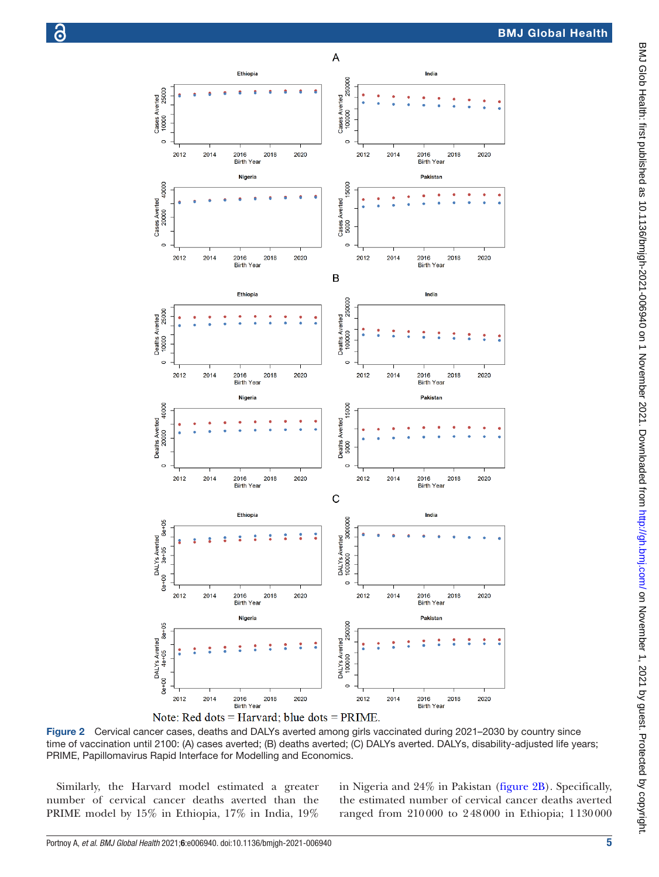



Figure 2 Cervical cancer cases, deaths and DALYs averted among girls vaccinated during 2021–2030 by country since time of vaccination until 2100: (A) cases averted; (B) deaths averted; (C) DALYs averted. DALYs, disability-adjusted life years; PRIME, Papillomavirus Rapid Interface for Modelling and Economics.

Similarly, the Harvard model estimated a greater number of cervical cancer deaths averted than the PRIME model by 15% in Ethiopia, 17% in India, 19% <span id="page-4-0"></span>in Nigeria and 24% in Pakistan [\(figure](#page-4-0) 2B). Specifically, the estimated number of cervical cancer deaths averted ranged from 210000 to 248000 in Ethiopia; 1130000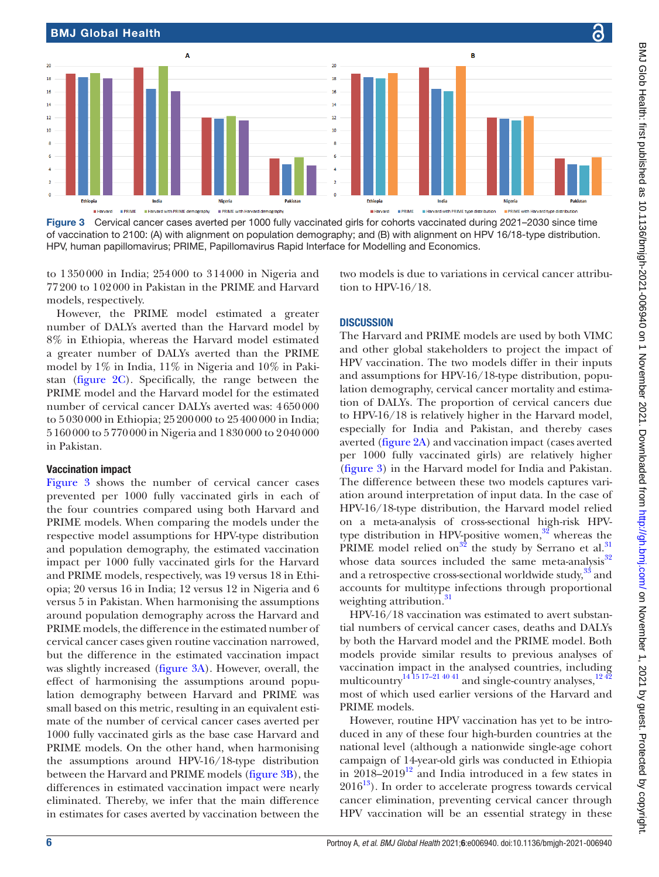

<span id="page-5-0"></span>Figure 3 Cervical cancer cases averted per 1000 fully vaccinated girls for cohorts vaccinated during 2021-2030 since time of vaccination to 2100: (A) with alignment on population demography; and (B) with alignment on HPV 16/18-type distribution. HPV, human papillomavirus; PRIME, Papillomavirus Rapid Interface for Modelling and Economics.

to 1350000 in India; 254000 to 314000 in Nigeria and 77200 to 102000 in Pakistan in the PRIME and Harvard models, respectively.

However, the PRIME model estimated a greater number of DALYs averted than the Harvard model by 8% in Ethiopia, whereas the Harvard model estimated a greater number of DALYs averted than the PRIME model by 1% in India, 11% in Nigeria and 10% in Pakistan ([figure](#page-4-0) 2C). Specifically, the range between the PRIME model and the Harvard model for the estimated number of cervical cancer DALYs averted was: 4650000 to 5030000 in Ethiopia; 25200000 to 25400000 in India; 5160000 to 5770000 in Nigeria and 1830000 to 2040000 in Pakistan.

#### Vaccination impact

[Figure](#page-5-0) 3 shows the number of cervical cancer cases prevented per 1000 fully vaccinated girls in each of the four countries compared using both Harvard and PRIME models. When comparing the models under the respective model assumptions for HPV-type distribution and population demography, the estimated vaccination impact per 1000 fully vaccinated girls for the Harvard and PRIME models, respectively, was 19 versus 18 in Ethiopia; 20 versus 16 in India; 12 versus 12 in Nigeria and 6 versus 5 in Pakistan. When harmonising the assumptions around population demography across the Harvard and PRIME models, the difference in the estimated number of cervical cancer cases given routine vaccination narrowed, but the difference in the estimated vaccination impact was slightly increased ([figure](#page-5-0) 3A). However, overall, the effect of harmonising the assumptions around population demography between Harvard and PRIME was small based on this metric, resulting in an equivalent estimate of the number of cervical cancer cases averted per 1000 fully vaccinated girls as the base case Harvard and PRIME models. On the other hand, when harmonising the assumptions around HPV-16/18-type distribution between the Harvard and PRIME models [\(figure](#page-5-0) 3B), the differences in estimated vaccination impact were nearly eliminated. Thereby, we infer that the main difference in estimates for cases averted by vaccination between the

two models is due to variations in cervical cancer attribution to HPV-16/18.

#### **DISCUSSION**

The Harvard and PRIME models are used by both VIMC and other global stakeholders to project the impact of HPV vaccination. The two models differ in their inputs and assumptions for HPV-16/18-type distribution, population demography, cervical cancer mortality and estimation of DALYs. The proportion of cervical cancers due to HPV-16/18 is relatively higher in the Harvard model, especially for India and Pakistan, and thereby cases averted [\(figure](#page-4-0) 2A) and vaccination impact (cases averted per 1000 fully vaccinated girls) are relatively higher [\(figure](#page-5-0) 3) in the Harvard model for India and Pakistan. The difference between these two models captures variation around interpretation of input data. In the case of HPV-16/18-type distribution, the Harvard model relied on a meta-analysis of cross-sectional high-risk HPVtype distribution in HPV-positive women, $32$  whereas the PRIME model relied on<sup>[32](#page-7-18)</sup> the study by Serrano et al.<sup>[31](#page-7-17)</sup> whose data sources included the same meta-analysis $32$ and a retrospective cross-sectional worldwide study, $^{3\bar{3}}$  and accounts for multitype infections through proportional weighting attribution.<sup>[31](#page-7-17)</sup>

HPV-16/18 vaccination was estimated to avert substantial numbers of cervical cancer cases, deaths and DALYs by both the Harvard model and the PRIME model. Both models provide similar results to previous analyses of vaccination impact in the analysed countries, including multicountry<sup>[14 15 17–21 40 41](#page-7-8)</sup> and single-country analyses,  $12\frac{42}{3}$ most of which used earlier versions of the Harvard and PRIME models.

However, routine HPV vaccination has yet to be introduced in any of these four high-burden countries at the national level (although a nationwide single-age cohort campaign of 14-year-old girls was conducted in Ethiopia in  $2018-2019^{12}$  $2018-2019^{12}$  $2018-2019^{12}$  and India introduced in a few states in  $2016^{13}$ ). In order to accelerate progress towards cervical cancer elimination, preventing cervical cancer through HPV vaccination will be an essential strategy in these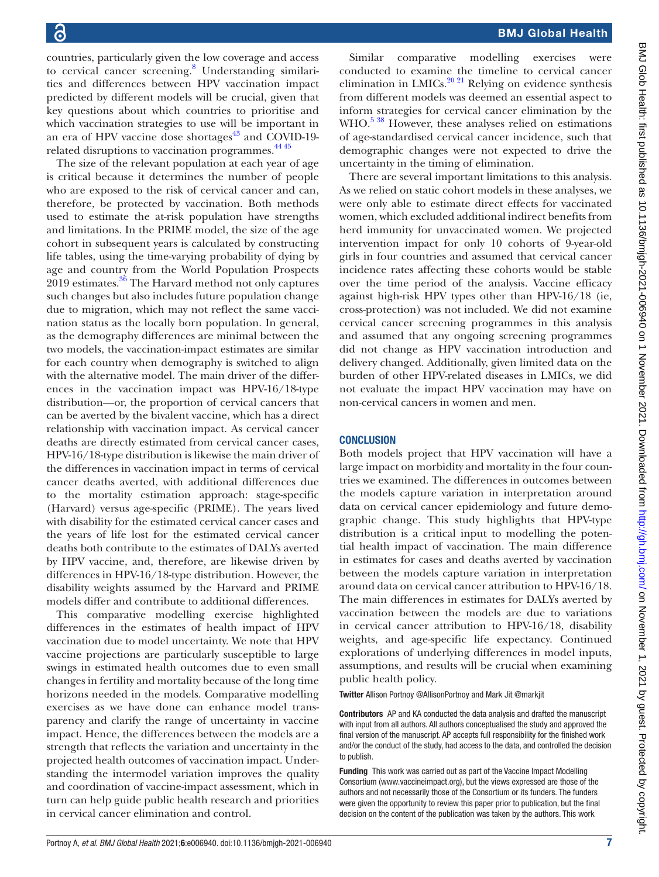countries, particularly given the low coverage and access to cervical cancer screening.<sup>[8](#page-7-3)</sup> Understanding similarities and differences between HPV vaccination impact predicted by different models will be crucial, given that key questions about which countries to prioritise and which vaccination strategies to use will be important in an era of HPV vaccine dose shortages $43$  and COVID-19-related disruptions to vaccination programmes.<sup>[44 45](#page-8-2)</sup>

The size of the relevant population at each year of age is critical because it determines the number of people who are exposed to the risk of cervical cancer and can, therefore, be protected by vaccination. Both methods used to estimate the at-risk population have strengths and limitations. In the PRIME model, the size of the age cohort in subsequent years is calculated by constructing life tables, using the time-varying probability of dying by age and country from the World Population Prospects 2019 estimates.<sup>36</sup> The Harvard method not only captures such changes but also includes future population change due to migration, which may not reflect the same vaccination status as the locally born population. In general, as the demography differences are minimal between the two models, the vaccination-impact estimates are similar for each country when demography is switched to align with the alternative model. The main driver of the differences in the vaccination impact was HPV-16/18-type distribution—or, the proportion of cervical cancers that can be averted by the bivalent vaccine, which has a direct relationship with vaccination impact. As cervical cancer deaths are directly estimated from cervical cancer cases, HPV-16/18-type distribution is likewise the main driver of the differences in vaccination impact in terms of cervical cancer deaths averted, with additional differences due to the mortality estimation approach: stage-specific (Harvard) versus age-specific (PRIME). The years lived with disability for the estimated cervical cancer cases and the years of life lost for the estimated cervical cancer deaths both contribute to the estimates of DALYs averted by HPV vaccine, and, therefore, are likewise driven by differences in HPV-16/18-type distribution. However, the disability weights assumed by the Harvard and PRIME models differ and contribute to additional differences.

This comparative modelling exercise highlighted differences in the estimates of health impact of HPV vaccination due to model uncertainty. We note that HPV vaccine projections are particularly susceptible to large swings in estimated health outcomes due to even small changes in fertility and mortality because of the long time horizons needed in the models. Comparative modelling exercises as we have done can enhance model transparency and clarify the range of uncertainty in vaccine impact. Hence, the differences between the models are a strength that reflects the variation and uncertainty in the projected health outcomes of vaccination impact. Understanding the intermodel variation improves the quality and coordination of vaccine-impact assessment, which in turn can help guide public health research and priorities in cervical cancer elimination and control.

Similar comparative modelling exercises were conducted to examine the timeline to cervical cancer elimination in LMICs.<sup>20 21</sup> Relying on evidence synthesis from different models was deemed an essential aspect to inform strategies for cervical cancer elimination by the WHO.<sup>5 38</sup> However, these analyses relied on estimations of age-standardised cervical cancer incidence, such that demographic changes were not expected to drive the uncertainty in the timing of elimination.

There are several important limitations to this analysis. As we relied on static cohort models in these analyses, we were only able to estimate direct effects for vaccinated women, which excluded additional indirect benefits from herd immunity for unvaccinated women. We projected intervention impact for only 10 cohorts of 9-year-old girls in four countries and assumed that cervical cancer incidence rates affecting these cohorts would be stable over the time period of the analysis. Vaccine efficacy against high-risk HPV types other than HPV-16/18 (ie, cross-protection) was not included. We did not examine cervical cancer screening programmes in this analysis and assumed that any ongoing screening programmes did not change as HPV vaccination introduction and delivery changed. Additionally, given limited data on the burden of other HPV-related diseases in LMICs, we did not evaluate the impact HPV vaccination may have on non-cervical cancers in women and men.

#### **CONCLUSION**

Both models project that HPV vaccination will have a large impact on morbidity and mortality in the four countries we examined. The differences in outcomes between the models capture variation in interpretation around data on cervical cancer epidemiology and future demographic change. This study highlights that HPV-type distribution is a critical input to modelling the potential health impact of vaccination. The main difference in estimates for cases and deaths averted by vaccination between the models capture variation in interpretation around data on cervical cancer attribution to HPV-16/18. The main differences in estimates for DALYs averted by vaccination between the models are due to variations in cervical cancer attribution to HPV-16/18, disability weights, and age-specific life expectancy. Continued explorations of underlying differences in model inputs, assumptions, and results will be crucial when examining public health policy.

Twitter Allison Portnoy [@AllisonPortnoy](https://twitter.com/AllisonPortnoy) and Mark Jit [@markjit](https://twitter.com/markjit)

Contributors AP and KA conducted the data analysis and drafted the manuscript with input from all authors. All authors conceptualised the study and approved the final version of the manuscript. AP accepts full responsibility for the finished work and/or the conduct of the study, had access to the data, and controlled the decision to publish.

Funding This work was carried out as part of the Vaccine Impact Modelling Consortium ([www.vaccineimpact.org\)](www.vaccineimpact.org), but the views expressed are those of the authors and not necessarily those of the Consortium or its funders. The funders were given the opportunity to review this paper prior to publication, but the final decision on the content of the publication was taken by the authors. This work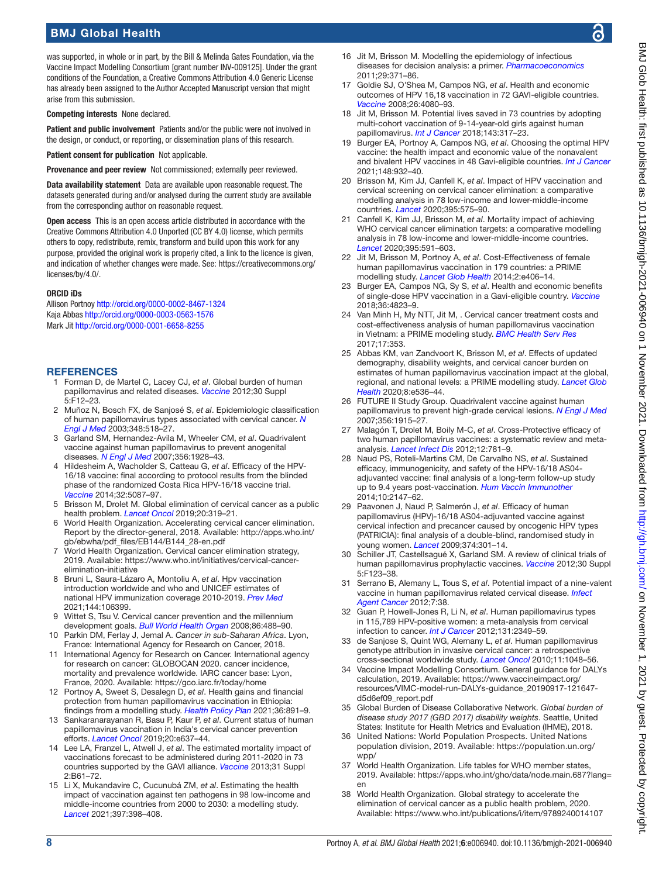### BMJ Global Health

was supported, in whole or in part, by the Bill & Melinda Gates Foundation, via the Vaccine Impact Modelling Consortium [grant number INV-009125]. Under the grant conditions of the Foundation, a Creative Commons Attribution 4.0 Generic License has already been assigned to the Author Accepted Manuscript version that might arise from this submission.

Competing interests None declared.

Patient and public involvement Patients and/or the public were not involved in the design, or conduct, or reporting, or dissemination plans of this research.

Patient consent for publication Not applicable.

Provenance and peer review Not commissioned; externally peer reviewed.

Data availability statement Data are available upon reasonable request. The datasets generated during and/or analysed during the current study are available from the corresponding author on reasonable request.

Open access This is an open access article distributed in accordance with the Creative Commons Attribution 4.0 Unported (CC BY 4.0) license, which permits others to copy, redistribute, remix, transform and build upon this work for any purpose, provided the original work is properly cited, a link to the licence is given, and indication of whether changes were made. See: [https://creativecommons.org/](https://creativecommons.org/licenses/by/4.0/) [licenses/by/4.0/](https://creativecommons.org/licenses/by/4.0/).

#### ORCID iDs

Allison Portnoy <http://orcid.org/0000-0002-8467-1324> Kaja Abbas <http://orcid.org/0000-0003-0563-1576> Mark Jit<http://orcid.org/0000-0001-6658-8255>

#### **REFERENCES**

- <span id="page-7-0"></span>1 Forman D, de Martel C, Lacey CJ, *et al*. Global burden of human papillomavirus and related diseases. *[Vaccine](http://dx.doi.org/10.1016/j.vaccine.2012.07.055)* 2012;30 Suppl 5:F12–23.
- 2 Muñoz N, Bosch FX, de Sanjosé S, *et al*. Epidemiologic classification of human papillomavirus types associated with cervical cancer. *[N](http://dx.doi.org/10.1056/NEJMoa021641)  [Engl J Med](http://dx.doi.org/10.1056/NEJMoa021641)* 2003;348:518–27.
- <span id="page-7-1"></span>3 Garland SM, Hernandez-Avila M, Wheeler CM, *et al*. Quadrivalent vaccine against human papillomavirus to prevent anogenital diseases. *[N Engl J Med](http://dx.doi.org/10.1056/NEJMoa061760)* 2007;356:1928–43.
- 4 Hildesheim A, Wacholder S, Catteau G, *et al*. Efficacy of the HPV-16/18 vaccine: final according to protocol results from the blinded phase of the randomized Costa Rica HPV-16/18 vaccine trial. *[Vaccine](http://dx.doi.org/10.1016/j.vaccine.2014.06.038)* 2014;32:5087–97.
- <span id="page-7-2"></span>5 Brisson M, Drolet M. Global elimination of cervical cancer as a public health problem. *[Lancet Oncol](http://dx.doi.org/10.1016/S1470-2045(19)30072-5)* 2019;20:319–21.
- World Health Organization. Accelerating cervical cancer elimination. Report by the director-general, 2018. Available: [http://apps.who.int/](http://apps.who.int/gb/ebwha/pdf_files/EB144/B144_28-en.pdf) [gb/ebwha/pdf\\_files/EB144/B144\\_28-en.pdf](http://apps.who.int/gb/ebwha/pdf_files/EB144/B144_28-en.pdf)
- 7 World Health Organization. Cervical cancer elimination strategy, 2019. Available: [https://www.who.int/initiatives/cervical-cancer](https://www.who.int/initiatives/cervical-cancer-elimination-initiative)[elimination-initiative](https://www.who.int/initiatives/cervical-cancer-elimination-initiative)
- <span id="page-7-3"></span>8 Bruni L, Saura-Lázaro A, Montoliu A, *et al*. Hpv vaccination introduction worldwide and who and UNICEF estimates of national HPV immunization coverage 2010-2019. *[Prev Med](http://dx.doi.org/10.1016/j.ypmed.2020.106399)* 2021;144:106399.
- <span id="page-7-4"></span>Wittet S, Tsu V. Cervical cancer prevention and the millennium development goals. *[Bull World Health Organ](http://dx.doi.org/10.2471/blt.07.050450)* 2008;86:488–90.
- <span id="page-7-5"></span>10 Parkin DM, Ferlay J, Jemal A. *Cancer in sub-Saharan Africa*. Lyon, France: International Agency for Research on Cancer, 2018.
- <span id="page-7-6"></span>11 International Agency for Research on Cancer. International agency for research on cancer: GLOBOCAN 2020. cancer incidence, mortality and prevalence worldwide. IARC cancer base: Lyon, France, 2020. Available:<https://gco.iarc.fr/today/home>
- <span id="page-7-26"></span>12 Portnoy A, Sweet S, Desalegn D, *et al*. Health gains and financial protection from human papillomavirus vaccination in Ethiopia: findings from a modelling study. *[Health Policy Plan](http://dx.doi.org/10.1093/heapol/czab052)* 2021;36:891–9.
- <span id="page-7-7"></span>13 Sankaranarayanan R, Basu P, Kaur P, *et al*. Current status of human papillomavirus vaccination in India's cervical cancer prevention efforts. *[Lancet Oncol](http://dx.doi.org/10.1016/S1470-2045(19)30531-5)* 2019;20:e637–44.
- <span id="page-7-8"></span>14 Lee LA, Franzel L, Atwell J, *et al*. The estimated mortality impact of vaccinations forecast to be administered during 2011-2020 in 73 countries supported by the GAVI alliance. *[Vaccine](http://dx.doi.org/10.1016/j.vaccine.2012.11.035)* 2013;31 Suppl 2:B61–72.
- <span id="page-7-9"></span>15 Li X, Mukandavire C, Cucunubá ZM, *et al*. Estimating the health impact of vaccination against ten pathogens in 98 low-income and middle-income countries from 2000 to 2030: a modelling study. *[Lancet](http://dx.doi.org/10.1016/S0140-6736(20)32657-X)* 2021;397:398–408.
- <span id="page-7-10"></span>Jit M, Brisson M. Modelling the epidemiology of infectious diseases for decision analysis: a primer. *[Pharmacoeconomics](http://dx.doi.org/10.2165/11539960-000000000-00000)* 2011;29:371–86.
- <span id="page-7-11"></span>17 Goldie SJ, O'Shea M, Campos NG, *et al*. Health and economic outcomes of HPV 16,18 vaccination in 72 GAVI-eligible countries. *[Vaccine](http://dx.doi.org/10.1016/j.vaccine.2008.04.053)* 2008;26:4080–93.
- 18 Jit M, Brisson M. Potential lives saved in 73 countries by adopting multi-cohort vaccination of 9-14-year-old girls against human papillomavirus. *[Int J Cancer](http://dx.doi.org/10.1002/ijc.31321)* 2018;143:317–23.
- <span id="page-7-12"></span>19 Burger EA, Portnoy A, Campos NG, *et al*. Choosing the optimal HPV vaccine: the health impact and economic value of the nonavalent and bivalent HPV vaccines in 48 Gavi-eligible countries. *[Int J Cancer](http://dx.doi.org/10.1002/ijc.33233)* 2021;148:932–40.
- <span id="page-7-13"></span>20 Brisson M, Kim JJ, Canfell K, *et al*. Impact of HPV vaccination and cervical screening on cervical cancer elimination: a comparative modelling analysis in 78 low-income and lower-middle-income countries. *[Lancet](http://dx.doi.org/10.1016/S0140-6736(20)30068-4)* 2020;395:575–90.
- <span id="page-7-20"></span>21 Canfell K, Kim JJ, Brisson M, *et al*. Mortality impact of achieving WHO cervical cancer elimination targets: a comparative modelling analysis in 78 low-income and lower-middle-income countries. *[Lancet](http://dx.doi.org/10.1016/S0140-6736(20)30157-4)* 2020;395:591–603.
- <span id="page-7-15"></span>22 Jit M, Brisson M, Portnoy A, *et al*. Cost-Effectiveness of female human papillomavirus vaccination in 179 countries: a PRIME modelling study. *[Lancet Glob Health](http://dx.doi.org/10.1016/S2214-109X(14)70237-2)* 2014;2:e406–14.
- <span id="page-7-14"></span>23 Burger EA, Campos NG, Sy S, *et al*. Health and economic benefits of single-dose HPV vaccination in a Gavi-eligible country. *[Vaccine](http://dx.doi.org/10.1016/j.vaccine.2018.04.061)* 2018;36:4823–9.
- 24 Van Minh H, My NTT, Jit M, . Cervical cancer treatment costs and cost-effectiveness analysis of human papillomavirus vaccination in Vietnam: a PRIME modeling study. *[BMC Health Serv Res](http://dx.doi.org/10.1186/s12913-017-2297-x)* 2017;17:353.
- 25 Abbas KM, van Zandvoort K, Brisson M, *et al*. Effects of updated demography, disability weights, and cervical cancer burden on estimates of human papillomavirus vaccination impact at the global, regional, and national levels: a PRIME modelling study. *[Lancet Glob](http://dx.doi.org/10.1016/S2214-109X(20)30022-X)  [Health](http://dx.doi.org/10.1016/S2214-109X(20)30022-X)* 2020;8:e536–44.
- <span id="page-7-16"></span>26 FUTURE II Study Group. Quadrivalent vaccine against human papillomavirus to prevent high-grade cervical lesions. *[N Engl J Med](http://dx.doi.org/10.1056/NEJMoa061741)* 2007;356:1915–27.
- 27 Malagón T, Drolet M, Boily M-C, *et al*. Cross-Protective efficacy of two human papillomavirus vaccines: a systematic review and metaanalysis. *[Lancet Infect Dis](http://dx.doi.org/10.1016/S1473-3099(12)70187-1)* 2012;12:781–9.
- 28 Naud PS, Roteli-Martins CM, De Carvalho NS, *et al*. Sustained efficacy, immunogenicity, and safety of the HPV-16/18 AS04 adjuvanted vaccine: final analysis of a long-term follow-up study up to 9.4 years post-vaccination. *[Hum Vaccin Immunother](http://dx.doi.org/10.4161/hv.29532)* 2014;10:2147–62.
- 29 Paavonen J, Naud P, Salmerón J, *et al*. Efficacy of human papillomavirus (HPV)-16/18 AS04-adjuvanted vaccine against cervical infection and precancer caused by oncogenic HPV types (PATRICIA): final analysis of a double-blind, randomised study in young women. *[Lancet](http://dx.doi.org/10.1016/S0140-6736(09)61248-4)* 2009;374:301–14.
- 30 Schiller JT, Castellsagué X, Garland SM. A review of clinical trials of human papillomavirus prophylactic vaccines. *[Vaccine](http://dx.doi.org/10.1016/j.vaccine.2012.04.108)* 2012;30 Suppl 5:F123–38.
- <span id="page-7-17"></span>31 Serrano B, Alemany L, Tous S, *et al*. Potential impact of a nine-valent vaccine in human papillomavirus related cervical disease. *[Infect](http://dx.doi.org/10.1186/1750-9378-7-38)  [Agent Cancer](http://dx.doi.org/10.1186/1750-9378-7-38)* 2012;7:38.
- <span id="page-7-18"></span>32 Guan P, Howell-Jones R, Li N, *et al*. Human papillomavirus types in 115,789 HPV-positive women: a meta-analysis from cervical infection to cancer. *[Int J Cancer](http://dx.doi.org/10.1002/ijc.27485)* 2012;131:2349–59.
- <span id="page-7-19"></span>33 de Sanjose S, Quint WG, Alemany L, *et al*. Human papillomavirus genotype attribution in invasive cervical cancer: a retrospective cross-sectional worldwide study. *[Lancet Oncol](http://dx.doi.org/10.1016/S1470-2045(10)70230-8)* 2010;11:1048–56.
- <span id="page-7-21"></span>34 Vaccine Impact Modelling Consortium. General guidance for DALYs calculation, 2019. Available: [https://www.vaccineimpact.org/](https://www.vaccineimpact.org/resources/VIMC-model-run-DALYs-guidance_20190917-121647-d5d6ef09_report.pdf) [resources/VIMC-model-run-DALYs-guidance\\_20190917-121647](https://www.vaccineimpact.org/resources/VIMC-model-run-DALYs-guidance_20190917-121647-d5d6ef09_report.pdf) [d5d6ef09\\_report.pdf](https://www.vaccineimpact.org/resources/VIMC-model-run-DALYs-guidance_20190917-121647-d5d6ef09_report.pdf)
- <span id="page-7-23"></span>35 Global Burden of Disease Collaborative Network. *Global burden of disease study 2017 (GBD 2017) disability weights*. Seattle, United States: Institute for Health Metrics and Evaluation (IHME), 2018.
- <span id="page-7-22"></span>36 United Nations: World Population Prospects. United Nations population division, 2019. Available: [https://population.un.org/](https://population.un.org/wpp/) [wpp/](https://population.un.org/wpp/)
- <span id="page-7-24"></span>37 World Health Organization. Life tables for WHO member states, 2019. Available: [https://apps.who.int/gho/data/node.main.687?lang=](https://apps.who.int/gho/data/node.main.687?lang=en) [en](https://apps.who.int/gho/data/node.main.687?lang=en)
- <span id="page-7-25"></span>38 World Health Organization. Global strategy to accelerate the elimination of cervical cancer as a public health problem, 2020. Available: <https://www.who.int/publications/i/item/9789240014107>